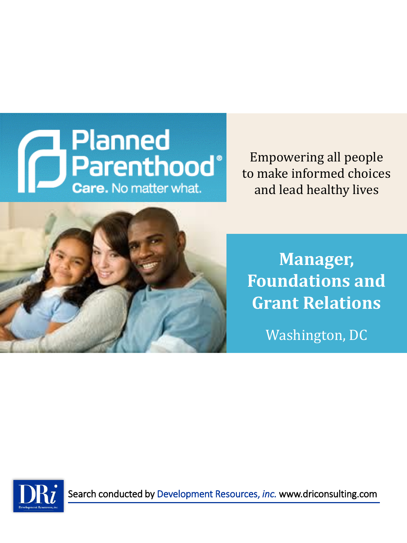

Empowering all people to make informed choices and lead healthy lives



**Manager, Foundations and Grant Relations**

Washington, DC

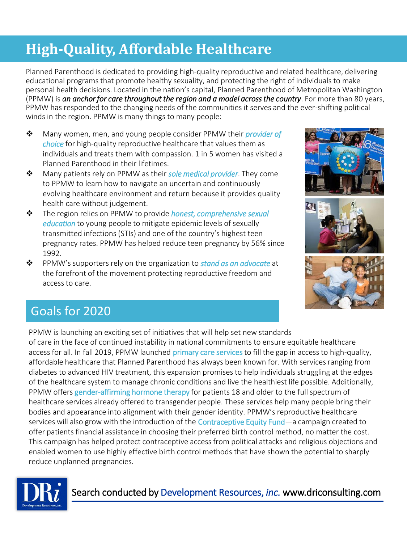## **High-Quality, Affordable Healthcare**

Planned Parenthood is dedicated to providing high-quality reproductive and related healthcare, delivering educational programs that promote healthy sexuality, and protecting the right of individuals to make personal health decisions. Located in the nation's capital, Planned Parenthood of Metropolitan Washington (PPMW) is *an anchor for care throughout the region and a model across the country*. For more than 80 years, PPMW has responded to the changing needs of the communities it serves and the ever-shifting political winds in the region. PPMW is many things to many people:

- ❖ Many women, men, and young people consider PPMW their *provider of choice* for high-quality reproductive healthcare that values them as individuals and treats them with compassion. 1 in 5 women has visited a Planned Parenthood in their lifetimes.
- ❖ Many patients rely on PPMW as their *sole medical provider*. They come to PPMW to learn how to navigate an uncertain and continuously evolving healthcare environment and return because it provides quality health care without judgement.
- ❖ The region relies on PPMW to provide *honest, comprehensive sexual education* to young people to mitigate epidemic levels of sexually transmitted infections (STIs) and one of the country's highest teen pregnancy rates. PPMW has helped reduce teen pregnancy by 56% since 1992.
- ❖ PPMW's supporters rely on the organization to *stand as an advocate* at the forefront of the movement protecting reproductive freedom and access to care.







### Goals for 2020

PPMW is launching an exciting set of initiatives that will help set new standards of care in the face of continued instability in national commitments to ensure equitable healthcare access for all. In fall 2019, PPMW launched primary care services to fill the gap in access to high-quality, affordable healthcare that Planned Parenthood has always been known for. With services ranging from diabetes to advanced HIV treatment, this expansion promises to help individuals struggling at the edges of the healthcare system to manage chronic conditions and live the healthiest life possible. Additionally, PPMW offers gender-affirming hormone therapy for patients 18 and older to the full spectrum of healthcare services already offered to transgender people. These services help many people bring their bodies and appearance into alignment with their gender identity. PPMW's reproductive healthcare services will also grow with the introduction of the Contraceptive Equity Fund—a campaign created to offer patients financial assistance in choosing their preferred birth control method, no matter the cost. This campaign has helped protect contraceptive access from political attacks and religious objections and enabled women to use highly effective birth control methods that have shown the potential to sharply reduce unplanned pregnancies.

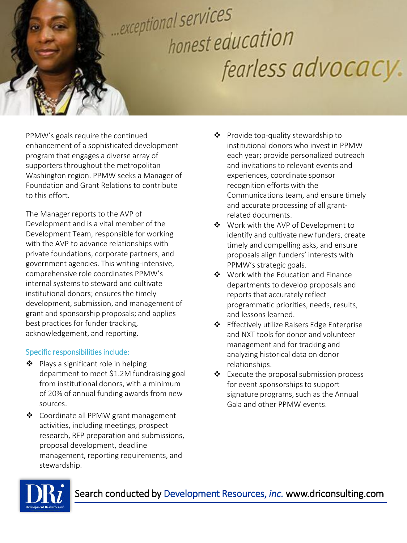# exceptional services honest education fearless advocacy.

PPMW's goals require the continued enhancement of a sophisticated development program that engages a diverse array of supporters throughout the metropolitan Washington region. PPMW seeks a Manager of Foundation and Grant Relations to contribute to this effort.

The Manager reports to the AVP of Development and is a vital member of the Development Team, responsible for working with the AVP to advance relationships with private foundations, corporate partners, and government agencies. This writing-intensive, comprehensive role coordinates PPMW's internal systems to steward and cultivate institutional donors; ensures the timely development, submission, and management of grant and sponsorship proposals; and applies best practices for funder tracking, acknowledgement, and reporting.

### Specific responsibilities include:

- ❖ Plays a significant role in helping department to meet \$1.2M fundraising goal from institutional donors, with a minimum of 20% of annual funding awards from new sources.
- ❖ Coordinate all PPMW grant management activities, including meetings, prospect research, RFP preparation and submissions, proposal development, deadline management, reporting requirements, and stewardship.
- ❖ Provide top-quality stewardship to institutional donors who invest in PPMW each year; provide personalized outreach and invitations to relevant events and experiences, coordinate sponsor recognition efforts with the Communications team, and ensure timely and accurate processing of all grantrelated documents.
- ❖ Work with the AVP of Development to identify and cultivate new funders, create timely and compelling asks, and ensure proposals align funders' interests with PPMW's strategic goals.
- ❖ Work with the Education and Finance departments to develop proposals and reports that accurately reflect programmatic priorities, needs, results, and lessons learned.
- ❖ Effectively utilize Raisers Edge Enterprise and NXT tools for donor and volunteer management and for tracking and analyzing historical data on donor relationships.
- ❖ Execute the proposal submission process for event sponsorships to support signature programs, such as the Annual Gala and other PPMW events.

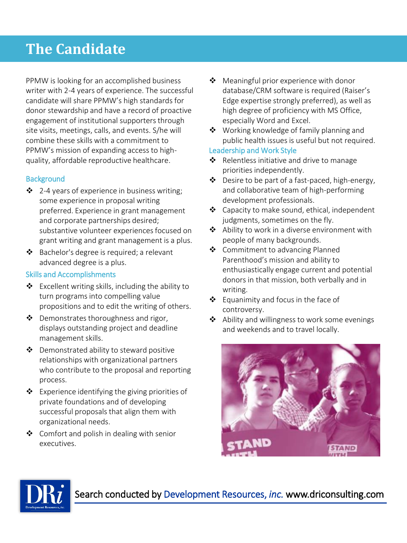### **The Candidate**

PPMW is looking for an accomplished business writer with 2-4 years of experience. The successful candidate will share PPMW's high standards for donor stewardship and have a record of proactive engagement of institutional supporters through site visits, meetings, calls, and events. S/he will combine these skills with a commitment to PPMW's mission of expanding access to highquality, affordable reproductive healthcare.

### **Background**

- ❖ 2-4 years of experience in business writing; some experience in proposal writing preferred. Experience in grant management and corporate partnerships desired; substantive volunteer experiences focused on grant writing and grant management is a plus.
- ❖ Bachelor's degree is required; a relevant advanced degree is a plus.

### Skills and Accomplishments

- ❖ Excellent writing skills, including the ability to turn programs into compelling value propositions and to edit the writing of others.
- ❖ Demonstrates thoroughness and rigor, displays outstanding project and deadline management skills.
- ❖ Demonstrated ability to steward positive relationships with organizational partners who contribute to the proposal and reporting process.
- ❖ Experience identifying the giving priorities of private foundations and of developing successful proposals that align them with organizational needs.
- ❖ Comfort and polish in dealing with senior executives.
- ❖ Meaningful prior experience with donor database/CRM software is required (Raiser's Edge expertise strongly preferred), as well as high degree of proficiency with MS Office, especially Word and Excel.
- ❖ Working knowledge of family planning and public health issues is useful but not required.

#### Leadership and Work Style

- ❖ Relentless initiative and drive to manage priorities independently.
- ❖ Desire to be part of a fast-paced, high-energy, and collaborative team of high-performing development professionals.
- ❖ Capacity to make sound, ethical, independent judgments, sometimes on the fly.
- ❖ Ability to work in a diverse environment with people of many backgrounds.
- ❖ Commitment to advancing Planned Parenthood's mission and ability to enthusiastically engage current and potential donors in that mission, both verbally and in writing.
- ❖ Equanimity and focus in the face of controversy.
- ❖ Ability and willingness to work some evenings and weekends and to travel locally.